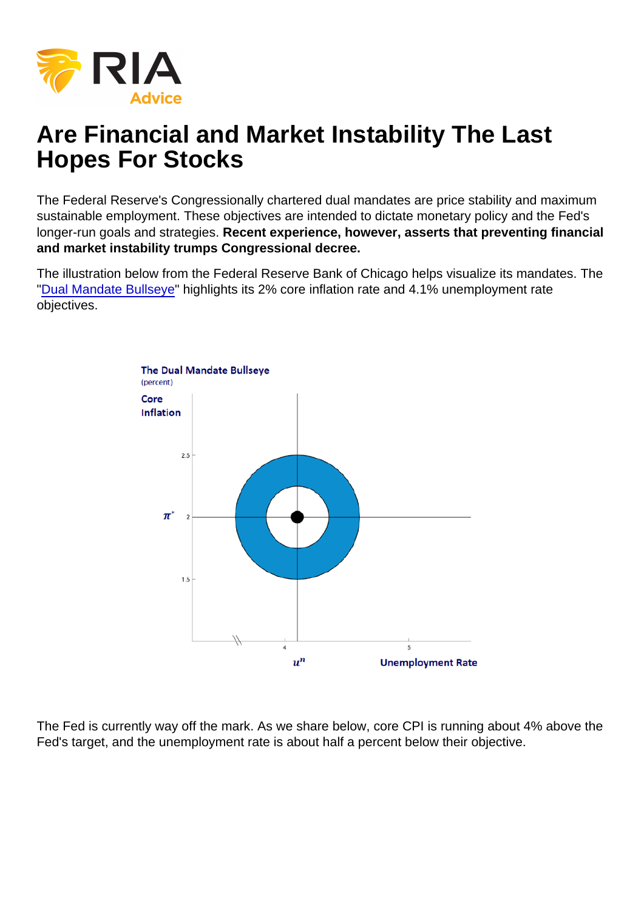# Are Financial and Market Instability The Last Hopes For Stocks

The Federal Reserve's Congressionally chartered dual mandates are price stability and maximum sustainable employment. These objectives are intended to dictate monetary policy and the Fed's longer-run goals and strategies. Recent experience, however, asserts that preventing financial and market instability trumps Congressional decree.

The illustration below from the Federal Reserve Bank of Chicago helps visualize its mandates. The ["Dual Mandate Bullseye"](https://www.chicagofed.org/research/dual-mandate/dual-mandate) highlights its 2% core inflation rate and 4.1% unemployment rate objectives.

The Fed is currently way off the mark. As we share below, core CPI is running about 4% above the Fed's target, and the unemployment rate is about half a percent below their objective.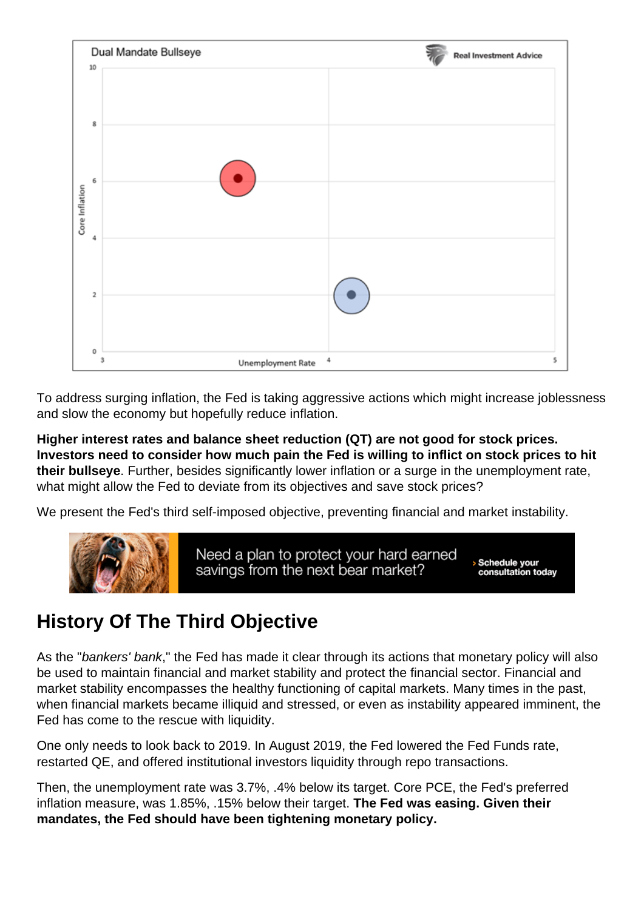To address surging inflation, the Fed is taking aggressive actions which might increase joblessness and slow the economy but hopefully reduce inflation.

Higher interest rates and balance sheet reduction (QT) are not good for stock prices. Investors need to consider how much pain the Fed is willing to inflict on stock prices to hit their bullseye . Further, besides significantly lower inflation or a surge in the unemployment rate, what might allow the Fed to deviate from its objectives and save stock prices?

We present the Fed's third self-imposed objective, preventing financial and market instability.

### History Of The Third Objective

As the "bankers' bank," the Fed has made it clear through its actions that monetary policy will also be used to maintain financial and market stability and protect the financial sector. Financial and market stability encompasses the healthy functioning of capital markets. Many times in the past, when financial markets became illiquid and stressed, or even as instability appeared imminent, the Fed has come to the rescue with liquidity.

One only needs to look back to 2019. In August 2019, the Fed lowered the Fed Funds rate, restarted QE, and offered institutional investors liquidity through repo transactions.

Then, the unemployment rate was 3.7%, .4% below its target. Core PCE, the Fed's preferred inflation measure, was 1.85%, .15% below their target. The Fed was easing. Given their mandates, the Fed should have been tightening monetary policy.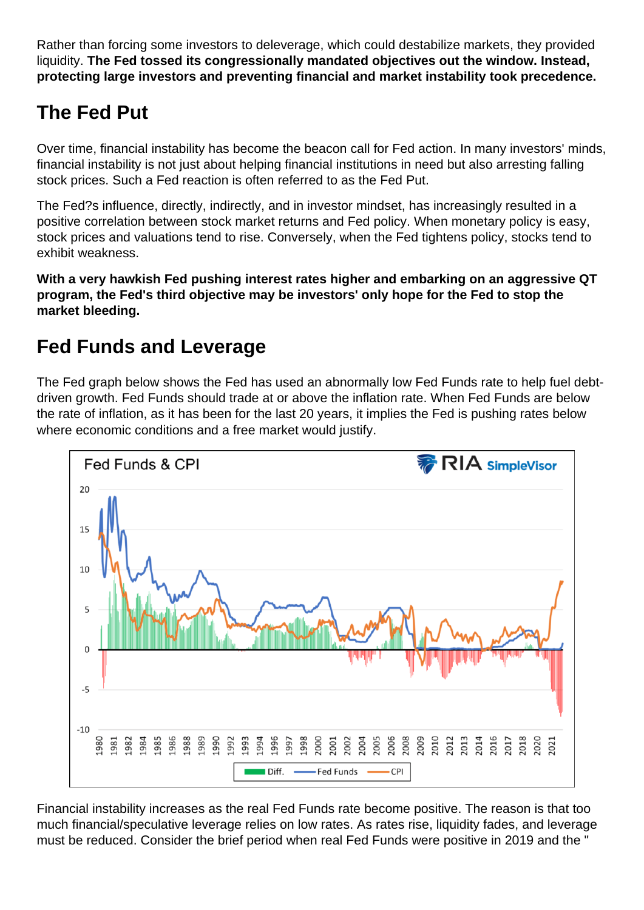Rather than forcing some investors to deleverage, which could destabilize markets, they provided liquidity. The Fed tossed its congressionally mandated objectives out the window. Instead, protecting large investors and preventing financial and market instability took precedence.

# The Fed Put

Over time, financial instability has become the beacon call for Fed action. In many investors' minds, financial instability is not just about helping financial institutions in need but also arresting falling stock prices. Such a Fed reaction is often referred to as the Fed Put.

The Fed?s influence, directly, indirectly, and in investor mindset, has increasingly resulted in a positive correlation between stock market returns and Fed policy. When monetary policy is easy, stock prices and valuations tend to rise. Conversely, when the Fed tightens policy, stocks tend to exhibit weakness.

With a very hawkish Fed pushing interest rates higher and embarking on an aggressive QT program, the Fed's third objective may be investors' only hope for the Fed to stop the market bleeding.

### Fed Funds and Leverage

The Fed graph below shows the Fed has used an abnormally low Fed Funds rate to help fuel debtdriven growth. Fed Funds should trade at or above the inflation rate. When Fed Funds are below the rate of inflation, as it has been for the last 20 years, it implies the Fed is pushing rates below where economic conditions and a free market would justify.

Financial instability increases as the real Fed Funds rate become positive. The reason is that too much financial/speculative leverage relies on low rates. As rates rise, liquidity fades, and leverage must be reduced. Consider the brief period when real Fed Funds were positive in 2019 and the "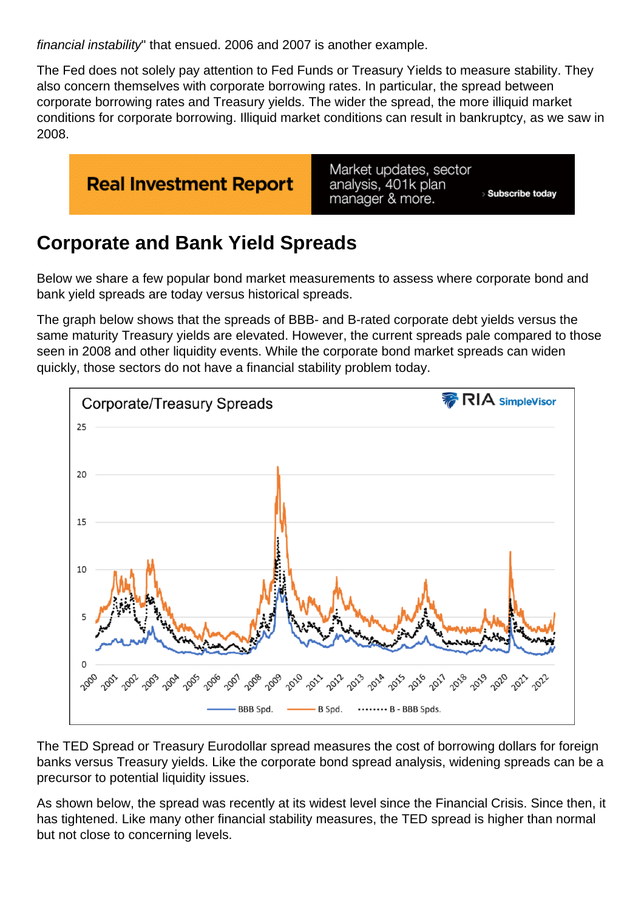financial instability" that ensued. 2006 and 2007 is another example.

The Fed does not solely pay attention to Fed Funds or Treasury Yields to measure stability. They also concern themselves with corporate borrowing rates. In particular, the spread between corporate borrowing rates and Treasury yields. The wider the spread, the more illiquid market conditions for corporate borrowing. Illiquid market conditions can result in bankruptcy, as we saw in 2008.

### Corporate and Bank Yield Spreads

Below we share a few popular bond market measurements to assess where corporate bond and bank yield spreads are today versus historical spreads.

The graph below shows that the spreads of BBB- and B-rated corporate debt yields versus the same maturity Treasury yields are elevated. However, the current spreads pale compared to those seen in 2008 and other liquidity events. While the corporate bond market spreads can widen quickly, those sectors do not have a financial stability problem today.

The TED Spread or Treasury Eurodollar spread measures the cost of borrowing dollars for foreign banks versus Treasury yields. Like the corporate bond spread analysis, widening spreads can be a precursor to potential liquidity issues.

As shown below, the spread was recently at its widest level since the Financial Crisis. Since then, it has tightened. Like many other financial stability measures, the TED spread is higher than normal but not close to concerning levels.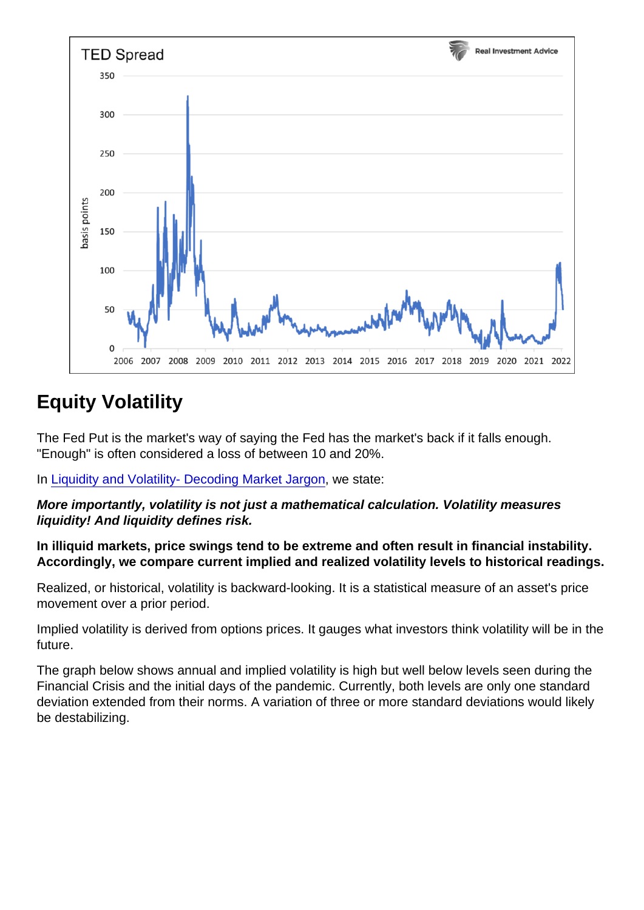# Equity Volatility

The Fed Put is the market's way of saying the Fed has the market's back if it falls enough. "Enough" is often considered a loss of between 10 and 20%.

In [Liquidity and Volatility- Decoding Market Jargon,](https://realinvestmentadvice.com/liquidity-and-volatility-decoding-market-jargon) we state:

More importantly, volatility is not just a mathematical calculation. Volatility measures liquidity! And liquidity defines risk.

In illiquid markets, price swings tend to be extreme and often result in financial instability. Accordingly, we compare current implied and realized volatility levels to historical readings.

Realized, or historical, volatility is backward-looking. It is a statistical measure of an asset's price movement over a prior period.

Implied volatility is derived from options prices. It gauges what investors think volatility will be in the future.

The graph below shows annual and implied volatility is high but well below levels seen during the Financial Crisis and the initial days of the pandemic. Currently, both levels are only one standard deviation extended from their norms. A variation of three or more standard deviations would likely be destabilizing.